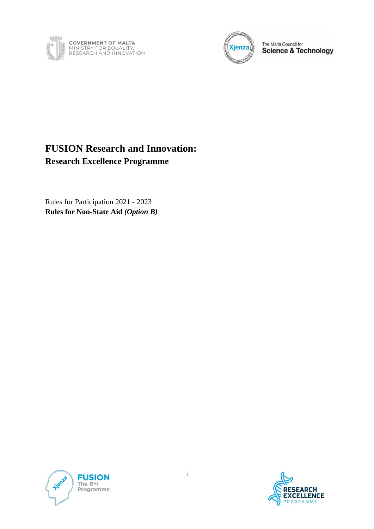



# **FUSION Research and Innovation: Research Excellence Programme**

Rules for Participation 2021 - 2023 **Rules for Non-State Aid** *(Option B)*



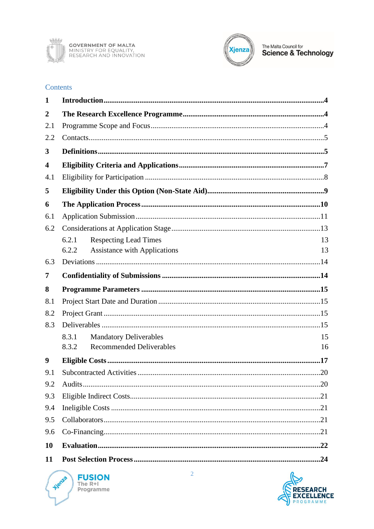



### Contents

| 1              |                                              |    |  |
|----------------|----------------------------------------------|----|--|
| $\overline{2}$ |                                              |    |  |
| 2.1            |                                              |    |  |
| 2.2            |                                              |    |  |
| 3              |                                              |    |  |
| 4              |                                              |    |  |
| 4.1            |                                              |    |  |
| 5              |                                              |    |  |
| 6              |                                              |    |  |
| 6.1            |                                              |    |  |
| 6.2            |                                              |    |  |
|                | <b>Respecting Lead Times</b><br>6.2.1        | 13 |  |
|                | <b>Assistance with Applications</b><br>6.2.2 | 13 |  |
| 6.3            |                                              |    |  |
| 7              |                                              |    |  |
| 8              |                                              |    |  |
| 8.1            |                                              |    |  |
| 8.2            |                                              |    |  |
| 8.3            |                                              |    |  |
|                | 8.3.1<br><b>Mandatory Deliverables</b>       | 15 |  |
|                | <b>Recommended Deliverables</b><br>8.3.2     | 16 |  |
|                |                                              |    |  |
| 9              |                                              |    |  |
| 9.1            |                                              |    |  |
| 9.2            |                                              |    |  |
| 9.3            |                                              |    |  |
| 9.4            |                                              |    |  |
| 9.5            |                                              |    |  |
| 9.6            |                                              |    |  |
| 10             |                                              |    |  |

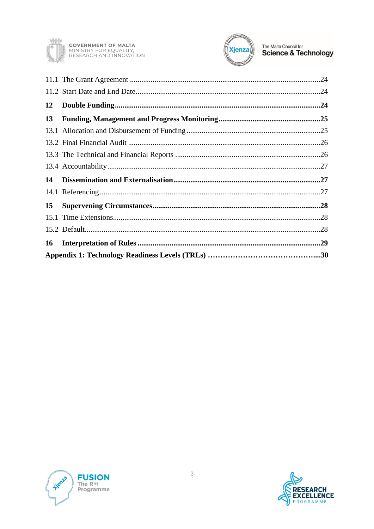



| 16 |  |
|----|--|
|    |  |
|    |  |
| 15 |  |
|    |  |
| 14 |  |
|    |  |
|    |  |
|    |  |
|    |  |
| 13 |  |
| 12 |  |
|    |  |
|    |  |



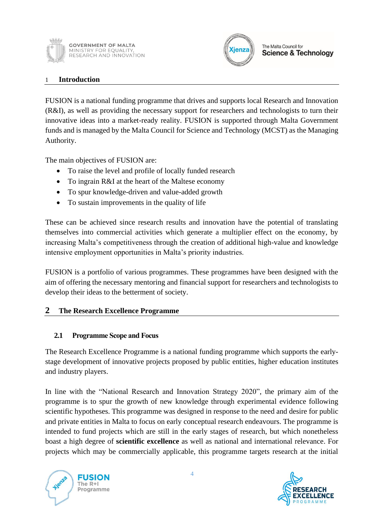



#### <span id="page-3-0"></span>1 **Introduction**

FUSION is a national funding programme that drives and supports local Research and Innovation (R&I), as well as providing the necessary support for researchers and technologists to turn their innovative ideas into a market-ready reality. FUSION is supported through Malta Government funds and is managed by the Malta Council for Science and Technology (MCST) as the Managing Authority.

The main objectives of FUSION are:

- To raise the level and profile of locally funded research
- To ingrain R&I at the heart of the Maltese economy
- To spur knowledge-driven and value-added growth
- To sustain improvements in the quality of life

These can be achieved since research results and innovation have the potential of translating themselves into commercial activities which generate a multiplier effect on the economy, by increasing Malta's competitiveness through the creation of additional high-value and knowledge intensive employment opportunities in Malta's priority industries.

FUSION is a portfolio of various programmes. These programmes have been designed with the aim of offering the necessary mentoring and financial support for researchers and technologists to develop their ideas to the betterment of society.

# <span id="page-3-1"></span>**2 The Research Excellence Programme**

#### <span id="page-3-2"></span>**2.1 Programme Scope and Focus**

The Research Excellence Programme is a national funding programme which supports the earlystage development of innovative projects proposed by public entities, higher education institutes and industry players.

In line with the "National Research and Innovation Strategy 2020", the primary aim of the programme is to spur the growth of new knowledge through experimental evidence following scientific hypotheses. This programme was designed in response to the need and desire for public and private entities in Malta to focus on early conceptual research endeavours. The programme is intended to fund projects which are still in the early stages of research, but which nonetheless boast a high degree of **scientific excellence** as well as national and international relevance. For projects which may be commercially applicable, this programme targets research at the initial



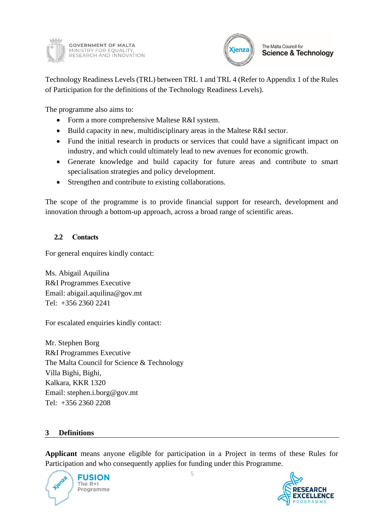



Technology Readiness Levels (TRL) between TRL 1 and TRL 4 (Refer to Appendix 1 of the Rules of Participation for the definitions of the Technology Readiness Levels).

The programme also aims to:

- Form a more comprehensive Maltese R&I system.
- Build capacity in new, multidisciplinary areas in the Maltese R&I sector.
- Fund the initial research in products or services that could have a significant impact on industry, and which could ultimately lead to new avenues for economic growth.
- Generate knowledge and build capacity for future areas and contribute to smart specialisation strategies and policy development.
- Strengthen and contribute to existing collaborations.

The scope of the programme is to provide financial support for research, development and innovation through a bottom-up approach, across a broad range of scientific areas.

# <span id="page-4-0"></span>**2.2 Contacts**

For general enquires kindly contact:

Ms. Abigail Aquilina R&I Programmes Executive Email: abigail.aquilina@gov.mt Tel: +356 2360 2241

For escalated enquiries kindly contact:

Mr. Stephen Borg R&I Programmes Executive The Malta Council for Science & Technology Villa Bighi, Bighi, Kalkara, KKR 1320 Email: stephen.i.borg@gov.mt Tel: +356 2360 2208

# <span id="page-4-1"></span>**3 Definitions**

**Applicant** means anyone eligible for participation in a Project in terms of these Rules for Participation and who consequently applies for funding under this Programme.



5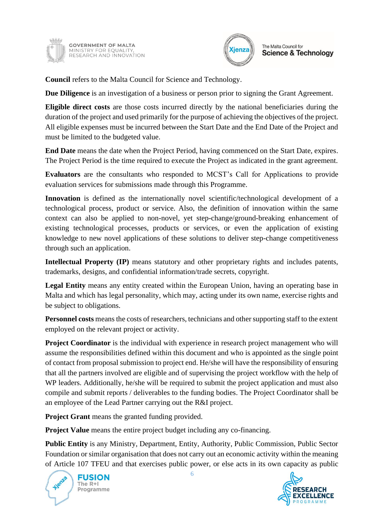



**Council** refers to the Malta Council for Science and Technology.

**Due Diligence** is an investigation of a business or person prior to signing the Grant Agreement.

**Eligible direct costs** are those costs incurred directly by the national beneficiaries during the duration of the project and used primarily for the purpose of achieving the objectives of the project. All eligible expenses must be incurred between the Start Date and the End Date of the Project and must be limited to the budgeted value.

**End Date** means the date when the Project Period, having commenced on the Start Date, expires. The Project Period is the time required to execute the Project as indicated in the grant agreement.

**Evaluators** are the consultants who responded to MCST's Call for Applications to provide evaluation services for submissions made through this Programme.

**Innovation** is defined as the internationally novel scientific/technological development of a technological process, product or service. Also, the definition of innovation within the same context can also be applied to non-novel, yet step-change/ground-breaking enhancement of existing technological processes, products or services, or even the application of existing knowledge to new novel applications of these solutions to deliver step-change competitiveness through such an application.

**Intellectual Property (IP)** means statutory and other proprietary rights and includes patents, trademarks, designs, and confidential information/trade secrets, copyright.

**Legal Entity** means any entity created within the European Union, having an operating base in Malta and which has legal personality, which may, acting under its own name, exercise rights and be subject to obligations.

**Personnel costs** means the costs of researchers, technicians and other supporting staff to the extent employed on the relevant project or activity.

**Project Coordinator** is the individual with experience in research project management who will assume the responsibilities defined within this document and who is appointed as the single point of contact from proposal submission to project end. He/she will have the responsibility of ensuring that all the partners involved are eligible and of supervising the project workflow with the help of WP leaders. Additionally, he/she will be required to submit the project application and must also compile and submit reports / deliverables to the funding bodies. The Project Coordinator shall be an employee of the Lead Partner carrying out the R&I project.

**Project Grant** means the granted funding provided.

**Project Value** means the entire project budget including any co-financing.

**Public Entity** is any Ministry, Department, Entity, Authority, Public Commission, Public Sector Foundation or similar organisation that does not carry out an economic activity within the meaning of Article 107 TFEU and that exercises public power, or else acts in its own capacity as public





6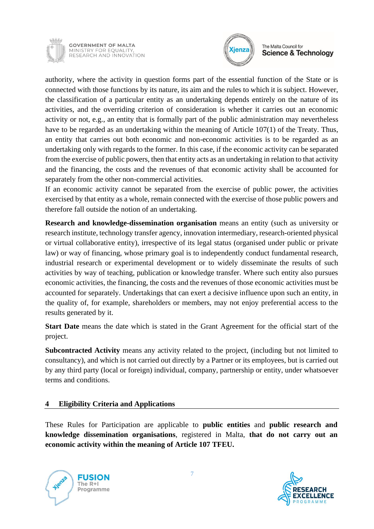

**GOVERNMENT OF MALTA** MINISTRY FOR EQUALITY,<br>RESEARCH AND INNOVATION



The Malta Council for **Science & Technology** 

authority, where the activity in question forms part of the essential function of the State or is connected with those functions by its nature, its aim and the rules to which it is subject. However, the classification of a particular entity as an undertaking depends entirely on the nature of its activities, and the overriding criterion of consideration is whether it carries out an economic activity or not, e.g., an entity that is formally part of the public administration may nevertheless have to be regarded as an undertaking within the meaning of Article 107(1) of the Treaty. Thus, an entity that carries out both economic and non-economic activities is to be regarded as an undertaking only with regards to the former. In this case, if the economic activity can be separated from the exercise of public powers, then that entity acts as an undertaking in relation to that activity and the financing, the costs and the revenues of that economic activity shall be accounted for separately from the other non-commercial activities.

If an economic activity cannot be separated from the exercise of public power, the activities exercised by that entity as a whole, remain connected with the exercise of those public powers and therefore fall outside the notion of an undertaking.

**Research and knowledge-dissemination organisation** means an entity (such as university or research institute, technology transfer agency, innovation intermediary, research-oriented physical or virtual collaborative entity), irrespective of its legal status (organised under public or private law) or way of financing, whose primary goal is to independently conduct fundamental research, industrial research or experimental development or to widely disseminate the results of such activities by way of teaching, publication or knowledge transfer. Where such entity also pursues economic activities, the financing, the costs and the revenues of those economic activities must be accounted for separately. Undertakings that can exert a decisive influence upon such an entity, in the quality of, for example, shareholders or members, may not enjoy preferential access to the results generated by it.

**Start Date** means the date which is stated in the Grant Agreement for the official start of the project.

**Subcontracted Activity** means any activity related to the project, (including but not limited to consultancy), and which is not carried out directly by a Partner or its employees, but is carried out by any third party (local or foreign) individual, company, partnership or entity, under whatsoever terms and conditions.

# <span id="page-6-0"></span>**4 Eligibility Criteria and Applications**

These Rules for Participation are applicable to **public entities** and **public research and knowledge dissemination organisations**, registered in Malta, **that do not carry out an economic activity within the meaning of Article 107 TFEU.**



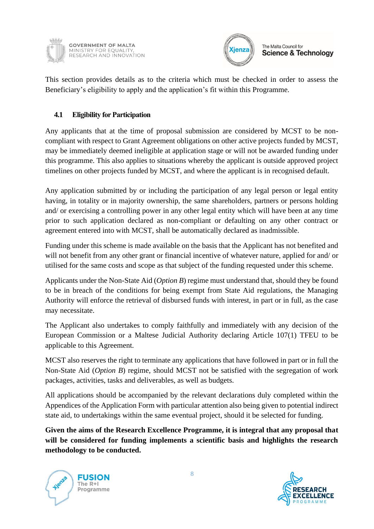



This section provides details as to the criteria which must be checked in order to assess the Beneficiary's eligibility to apply and the application's fit within this Programme.

# <span id="page-7-0"></span>**4.1 Eligibility for Participation**

Any applicants that at the time of proposal submission are considered by MCST to be noncompliant with respect to Grant Agreement obligations on other active projects funded by MCST, may be immediately deemed ineligible at application stage or will not be awarded funding under this programme. This also applies to situations whereby the applicant is outside approved project timelines on other projects funded by MCST, and where the applicant is in recognised default.

Any application submitted by or including the participation of any legal person or legal entity having, in totality or in majority ownership, the same shareholders, partners or persons holding and/ or exercising a controlling power in any other legal entity which will have been at any time prior to such application declared as non-compliant or defaulting on any other contract or agreement entered into with MCST, shall be automatically declared as inadmissible.

Funding under this scheme is made available on the basis that the Applicant has not benefited and will not benefit from any other grant or financial incentive of whatever nature, applied for and/ or utilised for the same costs and scope as that subject of the funding requested under this scheme.

Applicants under the Non-State Aid (*Option B*) regime must understand that, should they be found to be in breach of the conditions for being exempt from State Aid regulations, the Managing Authority will enforce the retrieval of disbursed funds with interest, in part or in full, as the case may necessitate.

The Applicant also undertakes to comply faithfully and immediately with any decision of the European Commission or a Maltese Judicial Authority declaring Article 107(1) TFEU to be applicable to this Agreement.

MCST also reserves the right to terminate any applications that have followed in part or in full the Non-State Aid (*Option B*) regime, should MCST not be satisfied with the segregation of work packages, activities, tasks and deliverables, as well as budgets.

All applications should be accompanied by the relevant declarations duly completed within the Appendices of the Application Form with particular attention also being given to potential indirect state aid, to undertakings within the same eventual project, should it be selected for funding.

**Given the aims of the Research Excellence Programme, it is integral that any proposal that will be considered for funding implements a scientific basis and highlights the research methodology to be conducted.**



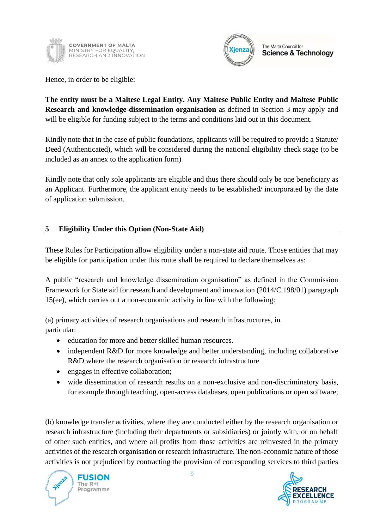



Hence, in order to be eligible:

**The entity must be a Maltese Legal Entity. Any Maltese Public Entity and Maltese Public Research and knowledge-dissemination organisation** as defined in Section 3 may apply and will be eligible for funding subject to the terms and conditions laid out in this document.

Kindly note that in the case of public foundations, applicants will be required to provide a Statute Deed (Authenticated), which will be considered during the national eligibility check stage (to be included as an annex to the application form)

Kindly note that only sole applicants are eligible and thus there should only be one beneficiary as an Applicant. Furthermore, the applicant entity needs to be established/ incorporated by the date of application submission.

# <span id="page-8-0"></span>**5 Eligibility Under this Option (Non-State Aid)**

These Rules for Participation allow eligibility under a non-state aid route. Those entities that may be eligible for participation under this route shall be required to declare themselves as:

A public "research and knowledge dissemination organisation" as defined in the Commission Framework for State aid for research and development and innovation (2014/C 198/01) paragraph 15(ee), which carries out a non-economic activity in line with the following:

(a) primary activities of research organisations and research infrastructures, in particular:

- education for more and better skilled human resources.
- independent R&D for more knowledge and better understanding, including collaborative R&D where the research organisation or research infrastructure
- engages in effective collaboration;
- wide dissemination of research results on a non-exclusive and non-discriminatory basis, for example through teaching, open-access databases, open publications or open software;

(b) knowledge transfer activities, where they are conducted either by the research organisation or research infrastructure (including their departments or subsidiaries) or jointly with, or on behalf of other such entities, and where all profits from those activities are reinvested in the primary activities of the research organisation or research infrastructure. The non-economic nature of those activities is not prejudiced by contracting the provision of corresponding services to third parties



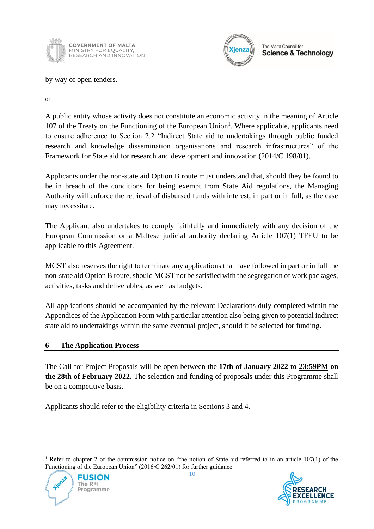



by way of open tenders.

or,

A public entity whose activity does not constitute an economic activity in the meaning of Article 107 of the Treaty on the Functioning of the European Union<sup>1</sup>. Where applicable, applicants need to ensure adherence to Section 2.2 "Indirect State aid to undertakings through public funded research and knowledge dissemination organisations and research infrastructures" of the Framework for State aid for research and development and innovation (2014/C 198/01).

Applicants under the non-state aid Option B route must understand that, should they be found to be in breach of the conditions for being exempt from State Aid regulations, the Managing Authority will enforce the retrieval of disbursed funds with interest, in part or in full, as the case may necessitate.

The Applicant also undertakes to comply faithfully and immediately with any decision of the European Commission or a Maltese judicial authority declaring Article 107(1) TFEU to be applicable to this Agreement.

MCST also reserves the right to terminate any applications that have followed in part or in full the non-state aid Option B route, should MCST not be satisfied with the segregation of work packages, activities, tasks and deliverables, as well as budgets.

All applications should be accompanied by the relevant Declarations duly completed within the Appendices of the Application Form with particular attention also being given to potential indirect state aid to undertakings within the same eventual project, should it be selected for funding.

# <span id="page-9-0"></span>**6 The Application Process**

The Call for Project Proposals will be open between the **17th of January 2022 to 23:59PM on the 28th of February 2022.** The selection and funding of proposals under this Programme shall be on a competitive basis.

Applicants should refer to the eligibility criteria in Sections 3 and 4.

<sup>&</sup>lt;sup>1</sup> Refer to chapter 2 of the commission notice on "the notion of State aid referred to in an article 107(1) of the Functioning of the European Union" (2016/C 262/01) for further guidance

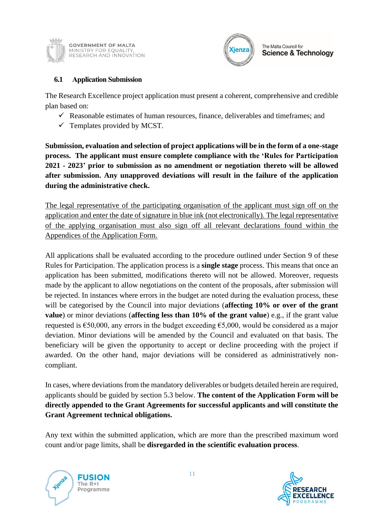



# <span id="page-10-0"></span>**6.1 Application Submission**

The Research Excellence project application must present a coherent, comprehensive and credible plan based on:

- $\checkmark$  Reasonable estimates of human resources, finance, deliverables and timeframes; and
- $\checkmark$  Templates provided by MCST.

**Submission, evaluation and selection of project applications will be in the form of a one-stage process. The applicant must ensure complete compliance with the 'Rules for Participation 2021 - 2023' prior to submission as no amendment or negotiation thereto will be allowed after submission. Any unapproved deviations will result in the failure of the application during the administrative check.**

The legal representative of the participating organisation of the applicant must sign off on the application and enter the date of signature in blue ink (not electronically). The legal representative of the applying organisation must also sign off all relevant declarations found within the Appendices of the Application Form.

All applications shall be evaluated according to the procedure outlined under Section 9 of these Rules for Participation. The application process is a **single stage** process. This means that once an application has been submitted, modifications thereto will not be allowed. Moreover, requests made by the applicant to allow negotiations on the content of the proposals, after submission will be rejected. In instances where errors in the budget are noted during the evaluation process, these will be categorised by the Council into major deviations (**affecting 10% or over of the grant value**) or minor deviations (**affecting less than 10% of the grant value**) e.g., if the grant value requested is  $\epsilon$ 50,000, any errors in the budget exceeding  $\epsilon$ 5,000, would be considered as a major deviation. Minor deviations will be amended by the Council and evaluated on that basis. The beneficiary will be given the opportunity to accept or decline proceeding with the project if awarded. On the other hand, major deviations will be considered as administratively noncompliant.

In cases, where deviations from the mandatory deliverables or budgets detailed herein are required, applicants should be guided by section 5.3 below. **The content of the Application Form will be directly appended to the Grant Agreements for successful applicants and will constitute the Grant Agreement technical obligations.**

Any text within the submitted application, which are more than the prescribed maximum word count and/or page limits, shall be **disregarded in the scientific evaluation process**.



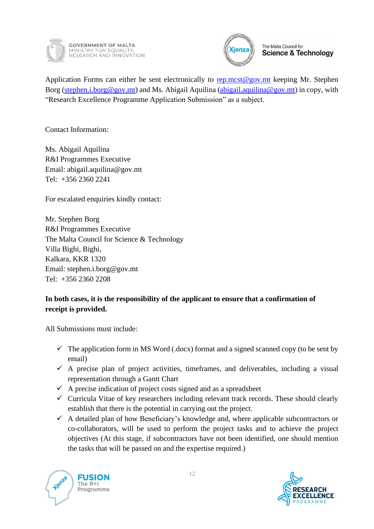



**Science & Technology** 

Application Forms can either be sent electronically to [rep.mcst@gov.mt](mailto:rep.mcst@gov.mt) keeping Mr. Stephen Borg [\(stephen.i.borg@gov.mt\)](mailto:stephen.i.borg@gov.mt) and Ms. Abigail Aquilina [\(abigail.aquilina@gov.mt\)](mailto:abigail.aquilina@gov.mt) in copy, with "Research Excellence Programme Application Submission" as a subject.

Contact Information:

Ms. Abigail Aquilina R&I Programmes Executive Email: abigail.aquilina@gov.mt Tel: +356 2360 2241

For escalated enquiries kindly contact:

Mr. Stephen Borg R&I Programmes Executive The Malta Council for Science & Technology Villa Bighi, Bighi, Kalkara, KKR 1320 Email: stephen.i.borg@gov.mt Tel: +356 2360 2208

# **In both cases, it is the responsibility of the applicant to ensure that a confirmation of receipt is provided.**

All Submissions must include:

- $\checkmark$  The application form in MS Word (.docx) format and a signed scanned copy (to be sent by email)
- $\checkmark$  A precise plan of project activities, timeframes, and deliverables, including a visual representation through a Gantt Chart
- $\checkmark$  A precise indication of project costs signed and as a spreadsheet
- $\checkmark$  Curricula Vitae of key researchers including relevant track records. These should clearly establish that there is the potential in carrying out the project.
- $\checkmark$  A detailed plan of how Beneficiary's knowledge and, where applicable subcontractors or co-collaborators, will be used to perform the project tasks and to achieve the project objectives (At this stage, if subcontractors have not been identified, one should mention the tasks that will be passed on and the expertise required.)



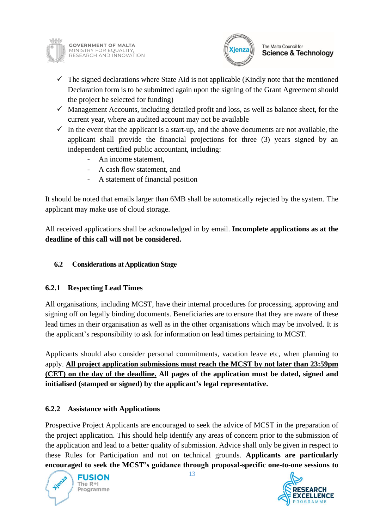



- $\checkmark$  The signed declarations where State Aid is not applicable (Kindly note that the mentioned Declaration form is to be submitted again upon the signing of the Grant Agreement should the project be selected for funding)
- $\checkmark$  Management Accounts, including detailed profit and loss, as well as balance sheet, for the current year, where an audited account may not be available
- $\checkmark$  In the event that the applicant is a start-up, and the above documents are not available, the applicant shall provide the financial projections for three (3) years signed by an independent certified public accountant, including:
	- An income statement,
	- A cash flow statement, and
	- A statement of financial position

It should be noted that emails larger than 6MB shall be automatically rejected by the system. The applicant may make use of cloud storage.

All received applications shall be acknowledged in by email. **Incomplete applications as at the deadline of this call will not be considered.**

# <span id="page-12-0"></span>**6.2 Considerations at Application Stage**

# <span id="page-12-1"></span>**6.2.1 Respecting Lead Times**

All organisations, including MCST, have their internal procedures for processing, approving and signing off on legally binding documents. Beneficiaries are to ensure that they are aware of these lead times in their organisation as well as in the other organisations which may be involved. It is the applicant's responsibility to ask for information on lead times pertaining to MCST.

Applicants should also consider personal commitments, vacation leave etc, when planning to apply. **All project application submissions must reach the MCST by not later than 23:59pm (CET) on the day of the deadline. All pages of the application must be dated, signed and initialised (stamped or signed) by the applicant's legal representative.**

# <span id="page-12-2"></span>**6.2.2 Assistance with Applications**

Prospective Project Applicants are encouraged to seek the advice of MCST in the preparation of the project application. This should help identify any areas of concern prior to the submission of the application and lead to a better quality of submission. Advice shall only be given in respect to these Rules for Participation and not on technical grounds. **Applicants are particularly encouraged to seek the MCST's guidance through proposal-specific one-to-one sessions to** 



13

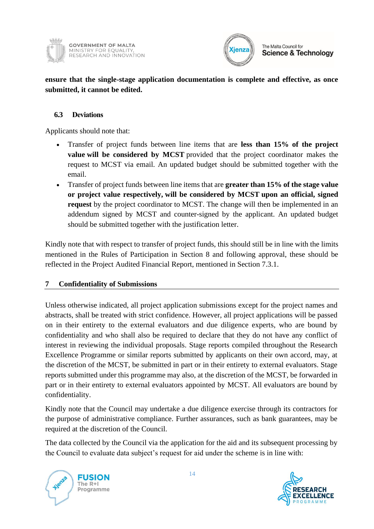



# **ensure that the single-stage application documentation is complete and effective, as once submitted, it cannot be edited.**

### <span id="page-13-0"></span>**6.3 Deviations**

Applicants should note that:

- Transfer of project funds between line items that are **less than 15% of the project value will be considered by MCST** provided that the project coordinator makes the request to MCST via email. An updated budget should be submitted together with the email.
- Transfer of project funds between line items that are **greater than 15% of the stage value or project value respectively, will be considered by MCST upon an official, signed request** by the project coordinator to MCST. The change will then be implemented in an addendum signed by MCST and counter-signed by the applicant. An updated budget should be submitted together with the justification letter.

Kindly note that with respect to transfer of project funds, this should still be in line with the limits mentioned in the Rules of Participation in Section 8 and following approval, these should be reflected in the Project Audited Financial Report, mentioned in Section 7.3.1.

# <span id="page-13-1"></span>**7 Confidentiality of Submissions**

Unless otherwise indicated, all project application submissions except for the project names and abstracts, shall be treated with strict confidence. However, all project applications will be passed on in their entirety to the external evaluators and due diligence experts, who are bound by confidentiality and who shall also be required to declare that they do not have any conflict of interest in reviewing the individual proposals. Stage reports compiled throughout the Research Excellence Programme or similar reports submitted by applicants on their own accord, may, at the discretion of the MCST, be submitted in part or in their entirety to external evaluators. Stage reports submitted under this programme may also, at the discretion of the MCST, be forwarded in part or in their entirety to external evaluators appointed by MCST. All evaluators are bound by confidentiality.

Kindly note that the Council may undertake a due diligence exercise through its contractors for the purpose of administrative compliance. Further assurances, such as bank guarantees, may be required at the discretion of the Council.

The data collected by the Council via the application for the aid and its subsequent processing by the Council to evaluate data subject's request for aid under the scheme is in line with:



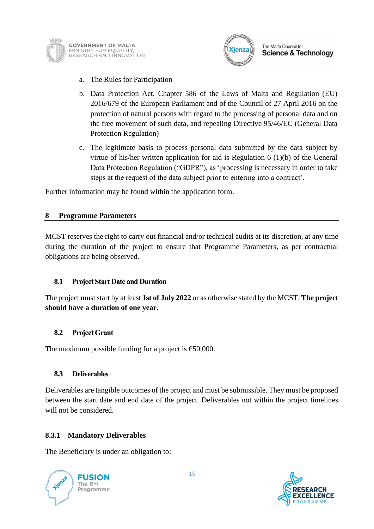



- a. The Rules for Participation
- b. Data Protection Act, Chapter 586 of the Laws of Malta and Regulation (EU) 2016/679 of the European Parliament and of the Council of 27 April 2016 on the protection of natural persons with regard to the processing of personal data and on the free movement of such data, and repealing Directive 95/46/EC (General Data Protection Regulation)
- c. The legitimate basis to process personal data submitted by the data subject by virtue of his/her written application for aid is Regulation 6 (1)(b) of the General Data Protection Regulation ("GDPR"), as 'processing is necessary in order to take steps at the request of the data subject prior to entering into a contract'.

Further information may be found within the application form.

### <span id="page-14-0"></span>**8 Programme Parameters**

MCST reserves the right to carry out financial and/or technical audits at its discretion, at any time during the duration of the project to ensure that Programme Parameters, as per contractual obligations are being observed.

#### <span id="page-14-1"></span>**8.1 Project Start Date and Duration**

The project must start by at least **1st of July 2022** or as otherwise stated by the MCST. **The project should have a duration of one year.** 

# <span id="page-14-2"></span>**8.2 Project Grant**

<span id="page-14-3"></span>The maximum possible funding for a project is  $\epsilon$ 50,000.

#### **8.3 Deliverables**

Deliverables are tangible outcomes of the project and must be submissible. They must be proposed between the start date and end date of the project. Deliverables not within the project timelines will not be considered.

# <span id="page-14-4"></span>**8.3.1 Mandatory Deliverables**

The Beneficiary is under an obligation to:



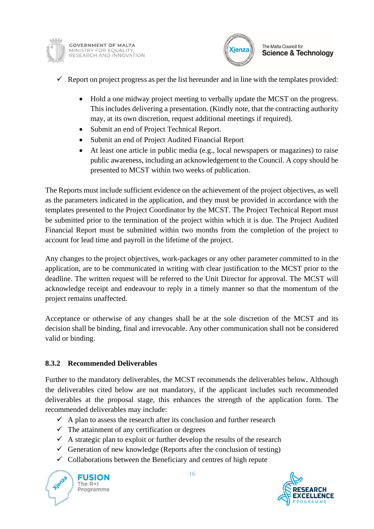



- $\checkmark$  Report on project progress as per the list hereunder and in line with the templates provided:
	- Hold a one midway project meeting to verbally update the MCST on the progress. This includes delivering a presentation. (Kindly note, that the contracting authority may, at its own discretion, request additional meetings if required).
	- Submit an end of Project Technical Report.
	- Submit an end of Project Audited Financial Report
	- At least one article in public media (e.g., local newspapers or magazines) to raise public awareness, including an acknowledgement to the Council. A copy should be presented to MCST within two weeks of publication.

The Reports must include sufficient evidence on the achievement of the project objectives, as well as the parameters indicated in the application, and they must be provided in accordance with the templates presented to the Project Coordinator by the MCST. The Project Technical Report must be submitted prior to the termination of the project within which it is due. The Project Audited Financial Report must be submitted within two months from the completion of the project to account for lead time and payroll in the lifetime of the project.

Any changes to the project objectives, work-packages or any other parameter committed to in the application, are to be communicated in writing with clear justification to the MCST prior to the deadline. The written request will be referred to the Unit Director for approval. The MCST will acknowledge receipt and endeavour to reply in a timely manner so that the momentum of the project remains unaffected.

Acceptance or otherwise of any changes shall be at the sole discretion of the MCST and its decision shall be binding, final and irrevocable. Any other communication shall not be considered valid or binding.

#### <span id="page-15-0"></span>**8.3.2 Recommended Deliverables**

Further to the mandatory deliverables, the MCST recommends the deliverables below. Although the deliverables cited below are not mandatory, if the applicant includes such recommended deliverables at the proposal stage, this enhances the strength of the application form. The recommended deliverables may include:

- $\checkmark$  A plan to assess the research after its conclusion and further research
- $\checkmark$  The attainment of any certification or degrees
- $\checkmark$  A strategic plan to exploit or further develop the results of the research
- $\checkmark$  Generation of new knowledge (Reports after the conclusion of testing)
- $\checkmark$  Collaborations between the Beneficiary and centres of high repute



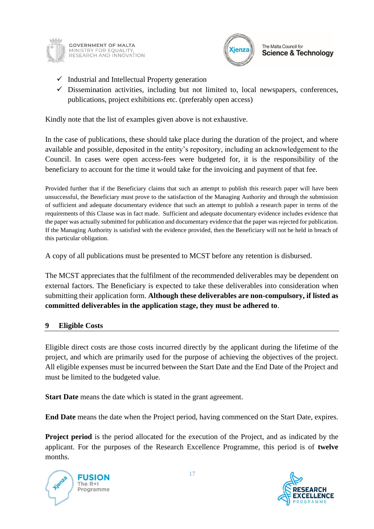



- $\checkmark$  Industrial and Intellectual Property generation
- $\checkmark$  Dissemination activities, including but not limited to, local newspapers, conferences, publications, project exhibitions etc. (preferably open access)

Kindly note that the list of examples given above is not exhaustive.

In the case of publications, these should take place during the duration of the project, and where available and possible, deposited in the entity's repository, including an acknowledgement to the Council. In cases were open access-fees were budgeted for, it is the responsibility of the beneficiary to account for the time it would take for the invoicing and payment of that fee.

Provided further that if the Beneficiary claims that such an attempt to publish this research paper will have been unsuccessful, the Beneficiary must prove to the satisfaction of the Managing Authority and through the submission of sufficient and adequate documentary evidence that such an attempt to publish a research paper in terms of the requirements of this Clause was in fact made. Sufficient and adequate documentary evidence includes evidence that the paper was actually submitted for publication and documentary evidence that the paper was rejected for publication. If the Managing Authority is satisfied with the evidence provided, then the Beneficiary will not be held in breach of this particular obligation.

A copy of all publications must be presented to MCST before any retention is disbursed.

The MCST appreciates that the fulfilment of the recommended deliverables may be dependent on external factors. The Beneficiary is expected to take these deliverables into consideration when submitting their application form. **Although these deliverables are non-compulsory, if listed as committed deliverables in the application stage, they must be adhered to**.

# <span id="page-16-0"></span>**9 Eligible Costs**

Eligible direct costs are those costs incurred directly by the applicant during the lifetime of the project, and which are primarily used for the purpose of achieving the objectives of the project. All eligible expenses must be incurred between the Start Date and the End Date of the Project and must be limited to the budgeted value.

**Start Date** means the date which is stated in the grant agreement.

**End Date** means the date when the Project period, having commenced on the Start Date, expires.

**Project period** is the period allocated for the execution of the Project, and as indicated by the applicant. For the purposes of the Research Excellence Programme, this period is of **twelve** months.



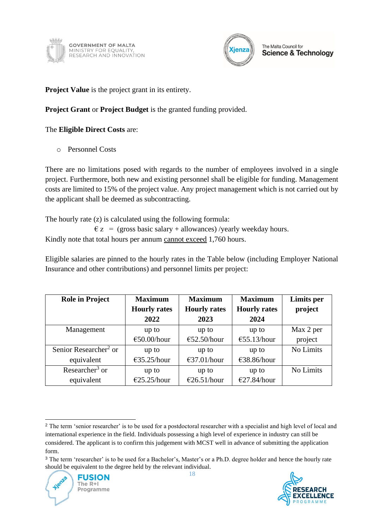



# **Project Value** is the project grant in its entirety.

**Project Grant** or **Project Budget** is the granted funding provided.

The **Eligible Direct Costs** are:

o Personnel Costs

There are no limitations posed with regards to the number of employees involved in a single project. Furthermore, both new and existing personnel shall be eligible for funding. Management costs are limited to 15% of the project value. Any project management which is not carried out by the applicant shall be deemed as subcontracting.

The hourly rate (z) is calculated using the following formula:

 $\epsilon$  z = (gross basic salary + allowances) /yearly weekday hours. Kindly note that total hours per annum cannot exceed 1,760 hours.

Eligible salaries are pinned to the hourly rates in the Table below (including Employer National Insurance and other contributions) and personnel limits per project:

| <b>Role in Project</b>            | <b>Maximum</b>                   | <b>Maximum</b>      | <b>Maximum</b>      | Limits per |
|-----------------------------------|----------------------------------|---------------------|---------------------|------------|
|                                   | <b>Hourly rates</b>              | <b>Hourly rates</b> | <b>Hourly rates</b> | project    |
|                                   | 2022                             | 2023                | 2024                |            |
| Management                        | up to                            | up to               | up to               | Max 2 per  |
|                                   | $€50.00/h$ our                   | €52.50/hour         | €55.13/hour         | project    |
| Senior Researcher <sup>2</sup> or | up to                            | up to               | up to               | No Limits  |
| equivalent                        | $\text{\textsterling}35.25/hour$ | €37.01/hour         | €38.86/hour         |            |
| Researcher <sup>3</sup> or        | up to                            | up to               | up to               | No Limits  |
| equivalent                        | €25.25/hour                      | €26.51/hour         | €27.84/hour         |            |

<sup>&</sup>lt;sup>3</sup> The term 'researcher' is to be used for a Bachelor's, Master's or a Ph.D. degree holder and hence the hourly rate should be equivalent to the degree held by the relevant individual.





<sup>&</sup>lt;sup>2</sup> The term 'senior researcher' is to be used for a postdoctoral researcher with a specialist and high level of local and international experience in the field. Individuals possessing a high level of experience in industry can still be considered. The applicant is to confirm this judgement with MCST well in advance of submitting the application form.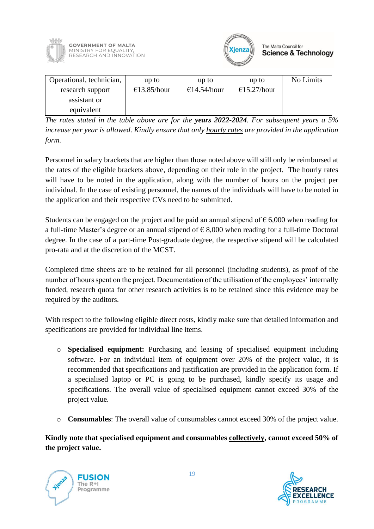



| Operational, technician, | up to       | up to       | up to       | No Limits |
|--------------------------|-------------|-------------|-------------|-----------|
| research support         | €13.85/hour | €14.54/hour | €15.27/hour |           |
| assistant or             |             |             |             |           |
| equivalent               |             |             |             |           |

*The rates stated in the table above are for the years 2022-2024. For subsequent years a 5% increase per year is allowed*. *Kindly ensure that only hourly rates are provided in the application form.*

Personnel in salary brackets that are higher than those noted above will still only be reimbursed at the rates of the eligible brackets above, depending on their role in the project. The hourly rates will have to be noted in the application, along with the number of hours on the project per individual. In the case of existing personnel, the names of the individuals will have to be noted in the application and their respective CVs need to be submitted.

Students can be engaged on the project and be paid an annual stipend of  $\epsilon$  6,000 when reading for a full-time Master's degree or an annual stipend of  $\epsilon$  8,000 when reading for a full-time Doctoral degree. In the case of a part-time Post-graduate degree, the respective stipend will be calculated pro-rata and at the discretion of the MCST.

Completed time sheets are to be retained for all personnel (including students), as proof of the number of hours spent on the project. Documentation of the utilisation of the employees' internally funded, research quota for other research activities is to be retained since this evidence may be required by the auditors.

With respect to the following eligible direct costs, kindly make sure that detailed information and specifications are provided for individual line items.

- o **Specialised equipment:** Purchasing and leasing of specialised equipment including software. For an individual item of equipment over 20% of the project value, it is recommended that specifications and justification are provided in the application form. If a specialised laptop or PC is going to be purchased, kindly specify its usage and specifications. The overall value of specialised equipment cannot exceed 30% of the project value.
- o **Consumables**: The overall value of consumables cannot exceed 30% of the project value.

**Kindly note that specialised equipment and consumables collectively, cannot exceed 50% of the project value.** 



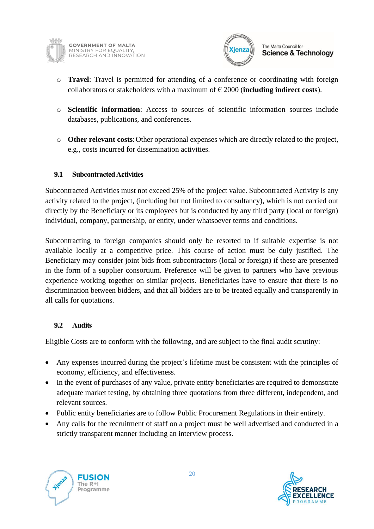



- o **Travel**: Travel is permitted for attending of a conference or coordinating with foreign collaborators or stakeholders with a maximum of € 2000 (**including indirect costs**).
- o **Scientific information**: Access to sources of scientific information sources include databases, publications, and conferences.
- o **Other relevant costs**:Other operational expenses which are directly related to the project, e.g., costs incurred for dissemination activities.

### <span id="page-19-0"></span>**9.1 Subcontracted Activities**

Subcontracted Activities must not exceed 25% of the project value. Subcontracted Activity is any activity related to the project, (including but not limited to consultancy), which is not carried out directly by the Beneficiary or its employees but is conducted by any third party (local or foreign) individual, company, partnership, or entity, under whatsoever terms and conditions.

Subcontracting to foreign companies should only be resorted to if suitable expertise is not available locally at a competitive price. This course of action must be duly justified. The Beneficiary may consider joint bids from subcontractors (local or foreign) if these are presented in the form of a supplier consortium. Preference will be given to partners who have previous experience working together on similar projects. Beneficiaries have to ensure that there is no discrimination between bidders, and that all bidders are to be treated equally and transparently in all calls for quotations.

# <span id="page-19-1"></span>**9.2 Audits**

Eligible Costs are to conform with the following, and are subject to the final audit scrutiny:

- Any expenses incurred during the project's lifetime must be consistent with the principles of economy, efficiency, and effectiveness.
- In the event of purchases of any value, private entity beneficiaries are required to demonstrate adequate market testing, by obtaining three quotations from three different, independent, and relevant sources.
- Public entity beneficiaries are to follow Public Procurement Regulations in their entirety.
- Any calls for the recruitment of staff on a project must be well advertised and conducted in a strictly transparent manner including an interview process.



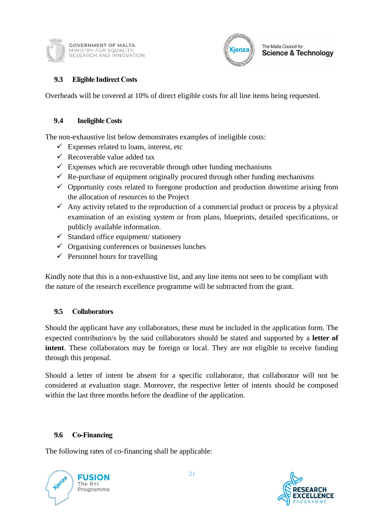



# <span id="page-20-0"></span>**9.3 Eligible Indirect Costs**

Overheads will be covered at 10% of direct eligible costs for all line items being requested.

#### <span id="page-20-1"></span>**9.4 Ineligible Costs**

The non-exhaustive list below demonstrates examples of ineligible costs:

- $\checkmark$  Expenses related to loans, interest, etc
- $\checkmark$  Recoverable value added tax
- $\checkmark$  Expenses which are recoverable through other funding mechanisms
- $\checkmark$  Re-purchase of equipment originally procured through other funding mechanisms
- $\checkmark$  Opportunity costs related to foregone production and production downtime arising from the allocation of resources to the Project
- $\checkmark$  Any activity related to the reproduction of a commercial product or process by a physical examination of an existing system or from plans, blueprints, detailed specifications, or publicly available information.
- $\checkmark$  Standard office equipment/ stationery
- $\checkmark$  Organising conferences or businesses lunches
- $\checkmark$  Personnel hours for travelling

Kindly note that this is a non-exhaustive list, and any line items not seen to be compliant with the nature of the research excellence programme will be subtracted from the grant.

#### <span id="page-20-2"></span>**9.5 Collaborators**

Should the applicant have any collaborators, these must be included in the application form. The expected contribution/s by the said collaborators should be stated and supported by a **letter of intent**. These collaborators may be foreign or local. They are not eligible to receive funding through this proposal.

Should a letter of intent be absent for a specific collaborator, that collaborator will not be considered at evaluation stage. Moreover, the respective letter of intents should be composed within the last three months before the deadline of the application.

#### <span id="page-20-3"></span>**9.6 Co-Financing**

The following rates of co-financing shall be applicable:



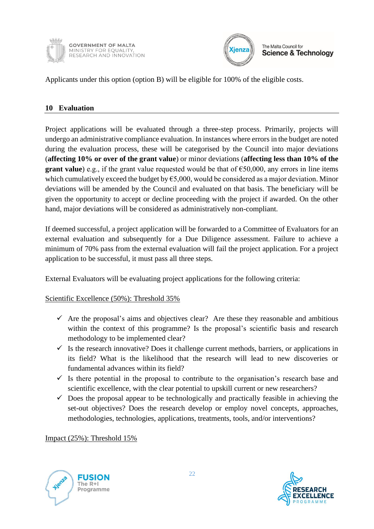



Applicants under this option (option B) will be eligible for 100% of the eligible costs.

### <span id="page-21-0"></span>**10 Evaluation**

Project applications will be evaluated through a three-step process. Primarily, projects will undergo an administrative compliance evaluation. In instances where errors in the budget are noted during the evaluation process, these will be categorised by the Council into major deviations (**affecting 10% or over of the grant value**) or minor deviations (**affecting less than 10% of the grant value**) e.g., if the grant value requested would be that of  $\epsilon$ 50,000, any errors in line items which cumulatively exceed the budget by  $\epsilon$ 5,000, would be considered as a major deviation. Minor deviations will be amended by the Council and evaluated on that basis. The beneficiary will be given the opportunity to accept or decline proceeding with the project if awarded. On the other hand, major deviations will be considered as administratively non-compliant.

If deemed successful, a project application will be forwarded to a Committee of Evaluators for an external evaluation and subsequently for a Due Diligence assessment. Failure to achieve a minimum of 70% pass from the external evaluation will fail the project application. For a project application to be successful, it must pass all three steps.

External Evaluators will be evaluating project applications for the following criteria:

Scientific Excellence (50%): Threshold 35%

- $\checkmark$  Are the proposal's aims and objectives clear? Are these they reasonable and ambitious within the context of this programme? Is the proposal's scientific basis and research methodology to be implemented clear?
- $\checkmark$  Is the research innovative? Does it challenge current methods, barriers, or applications in its field? What is the likelihood that the research will lead to new discoveries or fundamental advances within its field?
- $\checkmark$  Is there potential in the proposal to contribute to the organisation's research base and scientific excellence, with the clear potential to upskill current or new researchers?
- $\checkmark$  Does the proposal appear to be technologically and practically feasible in achieving the set-out objectives? Does the research develop or employ novel concepts, approaches, methodologies, technologies, applications, treatments, tools, and/or interventions?

Impact (25%): Threshold 15%



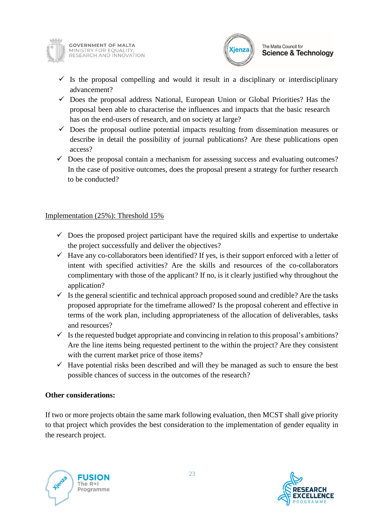



- $\checkmark$  Is the proposal compelling and would it result in a disciplinary or interdisciplinary advancement?
- $\checkmark$  Does the proposal address National, European Union or Global Priorities? Has the proposal been able to characterise the influences and impacts that the basic research has on the end-users of research, and on society at large?
- $\checkmark$  Does the proposal outline potential impacts resulting from dissemination measures or describe in detail the possibility of journal publications? Are these publications open access?
- $\checkmark$  Does the proposal contain a mechanism for assessing success and evaluating outcomes? In the case of positive outcomes, does the proposal present a strategy for further research to be conducted?

### Implementation (25%): Threshold 15%

- $\checkmark$  Does the proposed project participant have the required skills and expertise to undertake the project successfully and deliver the objectives?
- $\checkmark$  Have any co-collaborators been identified? If yes, is their support enforced with a letter of intent with specified activities? Are the skills and resources of the co-collaborators complimentary with those of the applicant? If no, is it clearly justified why throughout the application?
- $\checkmark$  Is the general scientific and technical approach proposed sound and credible? Are the tasks proposed appropriate for the timeframe allowed? Is the proposal coherent and effective in terms of the work plan, including appropriateness of the allocation of deliverables, tasks and resources?
- $\checkmark$  Is the requested budget appropriate and convincing in relation to this proposal's ambitions? Are the line items being requested pertinent to the within the project? Are they consistent with the current market price of those items?
- $\checkmark$  Have potential risks been described and will they be managed as such to ensure the best possible chances of success in the outcomes of the research?

#### **Other considerations:**

If two or more projects obtain the same mark following evaluation, then MCST shall give priority to that project which provides the best consideration to the implementation of gender equality in the research project.



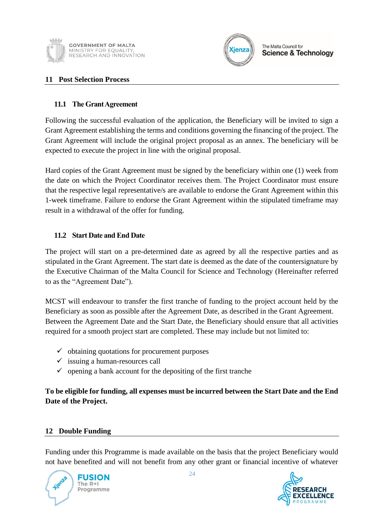



#### <span id="page-23-0"></span>**11 Post Selection Process**

#### <span id="page-23-1"></span>**11.1 The Grant Agreement**

Following the successful evaluation of the application, the Beneficiary will be invited to sign a Grant Agreement establishing the terms and conditions governing the financing of the project. The Grant Agreement will include the original project proposal as an annex. The beneficiary will be expected to execute the project in line with the original proposal.

Hard copies of the Grant Agreement must be signed by the beneficiary within one (1) week from the date on which the Project Coordinator receives them. The Project Coordinator must ensure that the respective legal representative/s are available to endorse the Grant Agreement within this 1-week timeframe. Failure to endorse the Grant Agreement within the stipulated timeframe may result in a withdrawal of the offer for funding.

### <span id="page-23-2"></span>**11.2 Start Date and End Date**

The project will start on a pre-determined date as agreed by all the respective parties and as stipulated in the Grant Agreement. The start date is deemed as the date of the countersignature by the Executive Chairman of the Malta Council for Science and Technology (Hereinafter referred to as the "Agreement Date").

MCST will endeavour to transfer the first tranche of funding to the project account held by the Beneficiary as soon as possible after the Agreement Date, as described in the Grant Agreement. Between the Agreement Date and the Start Date, the Beneficiary should ensure that all activities required for a smooth project start are completed. These may include but not limited to:

- $\checkmark$  obtaining quotations for procurement purposes
- $\checkmark$  issuing a human-resources call
- $\checkmark$  opening a bank account for the depositing of the first tranche

# **To be eligible for funding, all expenses must be incurred between the Start Date and the End Date of the Project.**

# <span id="page-23-3"></span>**12 Double Funding**

Funding under this Programme is made available on the basis that the project Beneficiary would not have benefited and will not benefit from any other grant or financial incentive of whatever



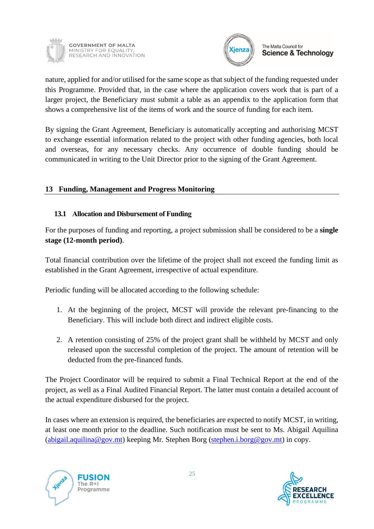



nature, applied for and/or utilised for the same scope as that subject of the funding requested under this Programme. Provided that, in the case where the application covers work that is part of a larger project, the Beneficiary must submit a table as an appendix to the application form that shows a comprehensive list of the items of work and the source of funding for each item.

By signing the Grant Agreement, Beneficiary is automatically accepting and authorising MCST to exchange essential information related to the project with other funding agencies, both local and overseas, for any necessary checks. Any occurrence of double funding should be communicated in writing to the Unit Director prior to the signing of the Grant Agreement.

# <span id="page-24-0"></span>**13 Funding, Management and Progress Monitoring**

# <span id="page-24-1"></span>**13.1 Allocation and Disbursement of Funding**

For the purposes of funding and reporting, a project submission shall be considered to be a **single stage (12-month period)**.

Total financial contribution over the lifetime of the project shall not exceed the funding limit as established in the Grant Agreement, irrespective of actual expenditure.

Periodic funding will be allocated according to the following schedule:

- 1. At the beginning of the project, MCST will provide the relevant pre-financing to the Beneficiary. This will include both direct and indirect eligible costs.
- 2. A retention consisting of 25% of the project grant shall be withheld by MCST and only released upon the successful completion of the project. The amount of retention will be deducted from the pre-financed funds.

The Project Coordinator will be required to submit a Final Technical Report at the end of the project, as well as a Final Audited Financial Report. The latter must contain a detailed account of the actual expenditure disbursed for the project.

In cases where an extension is required, the beneficiaries are expected to notify MCST, in writing, at least one month prior to the deadline. Such notification must be sent to Ms. Abigail Aquilina [\(abigail.aquilina@gov.mt\)](mailto:abigail.aquilina@gov.mt) keeping Mr. Stephen Borg [\(stephen.i.borg@gov.mt\)](mailto:stephen.i.borg@gov.mt) in copy.



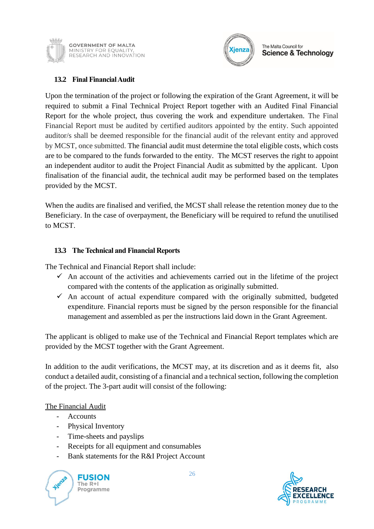



# <span id="page-25-0"></span>**13.2 Final Financial Audit**

Upon the termination of the project or following the expiration of the Grant Agreement, it will be required to submit a Final Technical Project Report together with an Audited Final Financial Report for the whole project, thus covering the work and expenditure undertaken. The Final Financial Report must be audited by certified auditors appointed by the entity. Such appointed auditor/s shall be deemed responsible for the financial audit of the relevant entity and approved by MCST, once submitted. The financial audit must determine the total eligible costs, which costs are to be compared to the funds forwarded to the entity. The MCST reserves the right to appoint an independent auditor to audit the Project Financial Audit as submitted by the applicant. Upon finalisation of the financial audit, the technical audit may be performed based on the templates provided by the MCST.

When the audits are finalised and verified, the MCST shall release the retention money due to the Beneficiary. In the case of overpayment, the Beneficiary will be required to refund the unutilised to MCST.

### <span id="page-25-1"></span>**13.3 The Technical and Financial Reports**

The Technical and Financial Report shall include:

- $\checkmark$  An account of the activities and achievements carried out in the lifetime of the project compared with the contents of the application as originally submitted.
- $\checkmark$  An account of actual expenditure compared with the originally submitted, budgeted expenditure. Financial reports must be signed by the person responsible for the financial management and assembled as per the instructions laid down in the Grant Agreement.

The applicant is obliged to make use of the Technical and Financial Report templates which are provided by the MCST together with the Grant Agreement.

In addition to the audit verifications, the MCST may, at its discretion and as it deems fit, also conduct a detailed audit, consisting of a financial and a technical section, following the completion of the project. The 3-part audit will consist of the following:

#### The Financial Audit

- **Accounts**
- Physical Inventory
- Time-sheets and payslips
- Receipts for all equipment and consumables
- Bank statements for the R&I Project Account



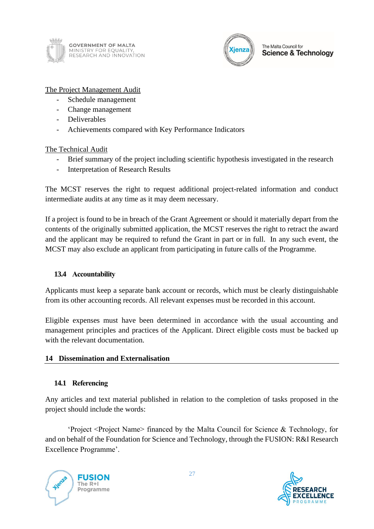



The Project Management Audit

- Schedule management
- Change management
- Deliverables
- Achievements compared with Key Performance Indicators

The Technical Audit

- Brief summary of the project including scientific hypothesis investigated in the research
- Interpretation of Research Results

The MCST reserves the right to request additional project-related information and conduct intermediate audits at any time as it may deem necessary.

If a project is found to be in breach of the Grant Agreement or should it materially depart from the contents of the originally submitted application, the MCST reserves the right to retract the award and the applicant may be required to refund the Grant in part or in full. In any such event, the MCST may also exclude an applicant from participating in future calls of the Programme.

# <span id="page-26-0"></span>**13.4 Accountability**

Applicants must keep a separate bank account or records, which must be clearly distinguishable from its other accounting records. All relevant expenses must be recorded in this account.

Eligible expenses must have been determined in accordance with the usual accounting and management principles and practices of the Applicant. Direct eligible costs must be backed up with the relevant documentation.

# <span id="page-26-1"></span>**14 Dissemination and Externalisation**

# <span id="page-26-2"></span>**14.1 Referencing**

Any articles and text material published in relation to the completion of tasks proposed in the project should include the words:

'Project <Project Name> financed by the Malta Council for Science & Technology, for and on behalf of the Foundation for Science and Technology, through the FUSION: R&I Research Excellence Programme'.

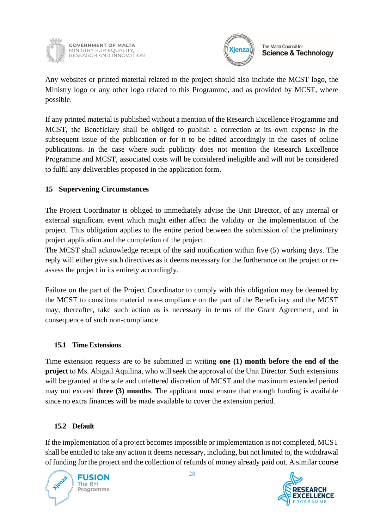

**GOVERNMENT OF MALTA** MINISTRY FOR EQUALITY,<br>RESEARCH AND INNOVATION



The Malta Council for **Science & Technology** 

Any websites or printed material related to the project should also include the MCST logo, the Ministry logo or any other logo related to this Programme, and as provided by MCST, where possible.

If any printed material is published without a mention of the Research Excellence Programme and MCST, the Beneficiary shall be obliged to publish a correction at its own expense in the subsequent issue of the publication or for it to be edited accordingly in the cases of online publications. In the case where such publicity does not mention the Research Excellence Programme and MCST, associated costs will be considered ineligible and will not be considered to fulfil any deliverables proposed in the application form.

# <span id="page-27-0"></span>**15 Supervening Circumstances**

The Project Coordinator is obliged to immediately advise the Unit Director, of any internal or external significant event which might either affect the validity or the implementation of the project. This obligation applies to the entire period between the submission of the preliminary project application and the completion of the project.

The MCST shall acknowledge receipt of the said notification within five (5) working days. The reply will either give such directives as it deems necessary for the furtherance on the project or reassess the project in its entirety accordingly.

Failure on the part of the Project Coordinator to comply with this obligation may be deemed by the MCST to constitute material non-compliance on the part of the Beneficiary and the MCST may, thereafter, take such action as is necessary in terms of the Grant Agreement, and in consequence of such non-compliance.

# <span id="page-27-1"></span>**15.1 Time Extensions**

Time extension requests are to be submitted in writing **one (1) month before the end of the project** to Ms. Abigail Aquilina, who will seek the approval of the Unit Director. Such extensions will be granted at the sole and unfettered discretion of MCST and the maximum extended period may not exceed **three (3) months**. The applicant must ensure that enough funding is available since no extra finances will be made available to cover the extension period.

# <span id="page-27-2"></span>**15.2 Default**

If the implementation of a project becomes impossible or implementation is not completed, MCST shall be entitled to take any action it deems necessary, including, but not limited to, the withdrawal of funding for the project and the collection of refunds of money already paid out. A similar course



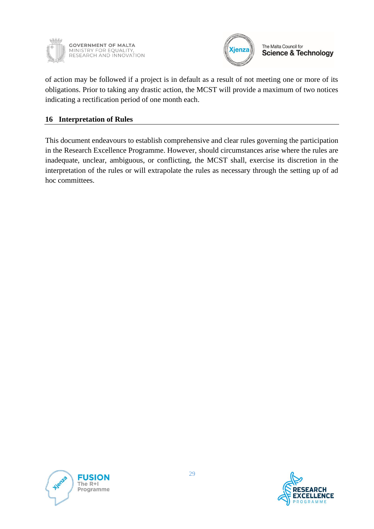



of action may be followed if a project is in default as a result of not meeting one or more of its obligations. Prior to taking any drastic action, the MCST will provide a maximum of two notices indicating a rectification period of one month each.

# <span id="page-28-0"></span>**16 Interpretation of Rules**

This document endeavours to establish comprehensive and clear rules governing the participation in the Research Excellence Programme. However, should circumstances arise where the rules are inadequate, unclear, ambiguous, or conflicting, the MCST shall, exercise its discretion in the interpretation of the rules or will extrapolate the rules as necessary through the setting up of ad hoc committees.



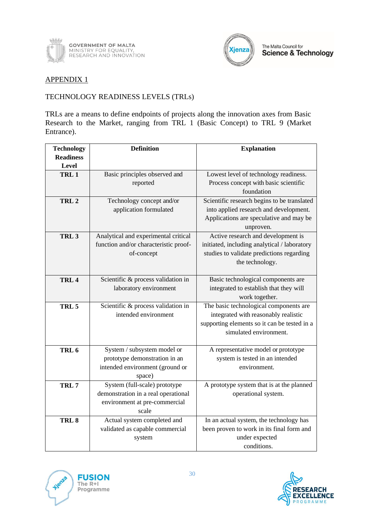



# APPENDIX 1

# TECHNOLOGY READINESS LEVELS (TRLs)

TRLs are a means to define endpoints of projects along the innovation axes from Basic Research to the Market, ranging from TRL 1 (Basic Concept) to TRL 9 (Market Entrance).

| <b>Technology</b> | <b>Definition</b>                     | <b>Explanation</b>                           |
|-------------------|---------------------------------------|----------------------------------------------|
| <b>Readiness</b>  |                                       |                                              |
| Level             |                                       |                                              |
| TRL1              | Basic principles observed and         | Lowest level of technology readiness.        |
|                   | reported                              | Process concept with basic scientific        |
|                   |                                       | foundation                                   |
| TRL <sub>2</sub>  | Technology concept and/or             | Scientific research begins to be translated  |
|                   | application formulated                | into applied research and development.       |
|                   |                                       | Applications are speculative and may be      |
|                   |                                       | unproven.                                    |
| TRL <sub>3</sub>  | Analytical and experimental critical  | Active research and development is           |
|                   | function and/or characteristic proof- | initiated, including analytical / laboratory |
|                   | of-concept                            | studies to validate predictions regarding    |
|                   |                                       | the technology.                              |
|                   |                                       |                                              |
| TRL <sub>4</sub>  | Scientific & process validation in    | Basic technological components are           |
|                   | laboratory environment                | integrated to establish that they will       |
|                   |                                       | work together.                               |
| TRL 5             | Scientific & process validation in    | The basic technological components are       |
|                   | intended environment                  | integrated with reasonably realistic         |
|                   |                                       | supporting elements so it can be tested in a |
|                   |                                       | simulated environment.                       |
|                   |                                       |                                              |
| TRL <sub>6</sub>  | System / subsystem model or           | A representative model or prototype          |
|                   | prototype demonstration in an         | system is tested in an intended              |
|                   | intended environment (ground or       | environment.                                 |
|                   | space)                                |                                              |
| TRL <sub>7</sub>  | System (full-scale) prototype         | A prototype system that is at the planned    |
|                   | demonstration in a real operational   | operational system.                          |
|                   | environment at pre-commercial         |                                              |
|                   | scale                                 |                                              |
| TRL <sub>8</sub>  | Actual system completed and           | In an actual system, the technology has      |
|                   | validated as capable commercial       | been proven to work in its final form and    |
|                   | system                                | under expected                               |
|                   |                                       | conditions.                                  |